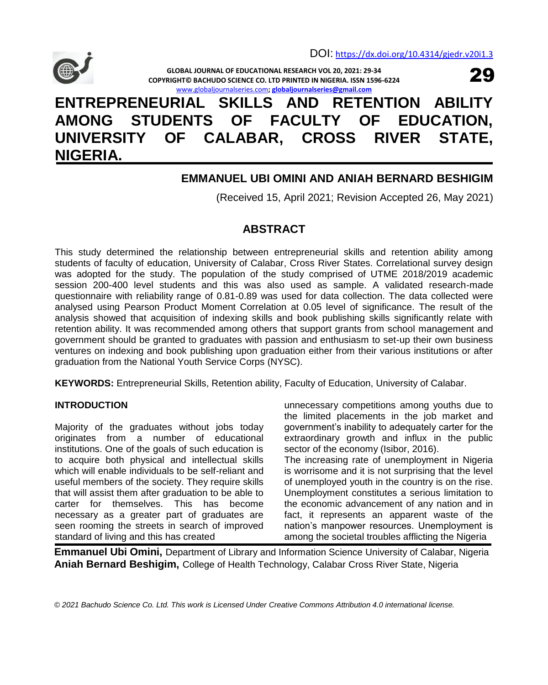

29

**GLOBAL JOURNAL OF EDUCATIONAL RESEARCH VOL 20, 2021: 29-34 COPYRIGHT© BACHUDO SCIENCE CO. LTD PRINTED IN NIGERIA. ISSN 1596-6224** [www.globaljournalseries.com](http://www.globaljournalseries.com/)**[; globaljournalseries@gmail.com](mailto:globaljournalseries@gmail.com)**

# **ENTREPRENEURIAL SKILLS AND RETENTION ABILITY AMONG STUDENTS OF FACULTY OF EDUCATION, UNIVERSITY OF CALABAR, CROSS RIVER STATE, NIGERIA.**

# **EMMANUEL UBI OMINI AND ANIAH BERNARD BESHIGIM**

(Received 15, April 2021; Revision Accepted 26, May 2021)

# **ABSTRACT**

This study determined the relationship between entrepreneurial skills and retention ability among students of faculty of education, University of Calabar, Cross River States. Correlational survey design was adopted for the study. The population of the study comprised of UTME 2018/2019 academic session 200-400 level students and this was also used as sample. A validated research-made questionnaire with reliability range of 0.81-0.89 was used for data collection. The data collected were analysed using Pearson Product Moment Correlation at 0.05 level of significance. The result of the analysis showed that acquisition of indexing skills and book publishing skills significantly relate with retention ability. It was recommended among others that support grants from school management and government should be granted to graduates with passion and enthusiasm to set-up their own business ventures on indexing and book publishing upon graduation either from their various institutions or after graduation from the National Youth Service Corps (NYSC).

**KEYWORDS:** Entrepreneurial Skills, Retention ability, Faculty of Education, University of Calabar.

# **INTRODUCTION**

Majority of the graduates without jobs today originates from a number of educational institutions. One of the goals of such education is to acquire both physical and intellectual skills which will enable individuals to be self-reliant and useful members of the society. They require skills that will assist them after graduation to be able to carter for themselves. This has become necessary as a greater part of graduates are seen rooming the streets in search of improved standard of living and this has created

unnecessary competitions among youths due to the limited placements in the job market and government's inability to adequately carter for the extraordinary growth and influx in the public sector of the economy (Isibor, 2016). The increasing rate of unemployment in Nigeria is worrisome and it is not surprising that the level

of unemployed youth in the country is on the rise. Unemployment constitutes a serious limitation to the economic advancement of any nation and in fact, it represents an apparent waste of the nation's manpower resources. Unemployment is among the societal troubles afflicting the Nigeria

**Emmanuel Ubi Omini,** Department of Library and Information Science University of Calabar, Nigeria **Aniah Bernard Beshigim,** College of Health Technology, Calabar Cross River State, Nigeria

*© 2021 Bachudo Science Co. Ltd. This work is Licensed Under Creative Commons Attribution 4.0 international license.*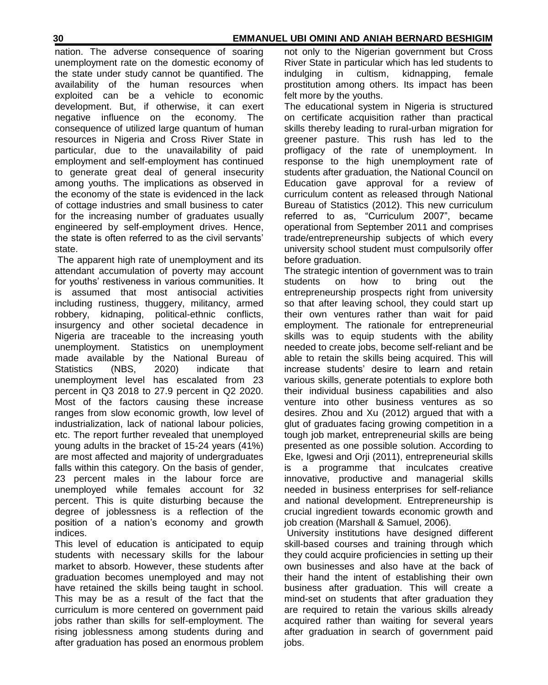## **30 EMMANUEL UBI OMINI AND ANIAH BERNARD BESHIGIM**

nation. The adverse consequence of soaring unemployment rate on the domestic economy of the state under study cannot be quantified. The availability of the human resources when exploited can be a vehicle to economic development. But, if otherwise, it can exert negative influence on the economy. The consequence of utilized large quantum of human resources in Nigeria and Cross River State in particular, due to the unavailability of paid employment and self-employment has continued to generate great deal of general insecurity among youths. The implications as observed in the economy of the state is evidenced in the lack of cottage industries and small business to cater for the increasing number of graduates usually engineered by self-employment drives. Hence, the state is often referred to as the civil servants' state.

The apparent high rate of unemployment and its attendant accumulation of poverty may account for youths' restiveness in various communities. It is assumed that most antisocial activities including rustiness, thuggery, militancy, armed robbery, kidnaping, political-ethnic conflicts, insurgency and other societal decadence in Nigeria are traceable to the increasing youth unemployment. Statistics on unemployment made available by the National Bureau of Statistics (NBS, 2020) indicate that unemployment level has escalated from 23 percent in Q3 2018 to 27.9 percent in Q2 2020. Most of the factors causing these increase ranges from slow economic growth, low level of industrialization, lack of national labour policies, etc. The report further revealed that unemployed young adults in the bracket of 15-24 years (41%) are most affected and majority of undergraduates falls within this category. On the basis of gender, 23 percent males in the labour force are unemployed while females account for 32 percent. This is quite disturbing because the degree of joblessness is a reflection of the position of a nation's economy and growth indices.

This level of education is anticipated to equip students with necessary skills for the labour market to absorb. However, these students after graduation becomes unemployed and may not have retained the skills being taught in school. This may be as a result of the fact that the curriculum is more centered on government paid jobs rather than skills for self-employment. The rising joblessness among students during and after graduation has posed an enormous problem

not only to the Nigerian government but Cross River State in particular which has led students to indulging in cultism, kidnapping, female prostitution among others. Its impact has been felt more by the youths.

The educational system in Nigeria is structured on certificate acquisition rather than practical skills thereby leading to rural-urban migration for greener pasture. This rush has led to the profligacy of the rate of unemployment. In response to the high unemployment rate of students after graduation, the National Council on Education gave approval for a review of curriculum content as released through National Bureau of Statistics (2012). This new curriculum referred to as, "Curriculum 2007", became operational from September 2011 and comprises trade/entrepreneurship subjects of which every university school student must compulsorily offer before graduation.

The strategic intention of government was to train students on how to bring out the entrepreneurship prospects right from university so that after leaving school, they could start up their own ventures rather than wait for paid employment. The rationale for entrepreneurial skills was to equip students with the ability needed to create jobs, become self-reliant and be able to retain the skills being acquired. This will increase students' desire to learn and retain various skills, generate potentials to explore both their individual business capabilities and also venture into other business ventures as so desires. Zhou and Xu (2012) argued that with a glut of graduates facing growing competition in a tough job market, entrepreneurial skills are being presented as one possible solution. According to Eke, Igwesi and Orji (2011), entrepreneurial skills is a programme that inculcates creative innovative, productive and managerial skills needed in business enterprises for self-reliance and national development. Entrepreneurship is crucial ingredient towards economic growth and job creation (Marshall & Samuel, 2006).

University institutions have designed different skill-based courses and training through which they could acquire proficiencies in setting up their own businesses and also have at the back of their hand the intent of establishing their own business after graduation. This will create a mind-set on students that after graduation they are required to retain the various skills already acquired rather than waiting for several years after graduation in search of government paid jobs.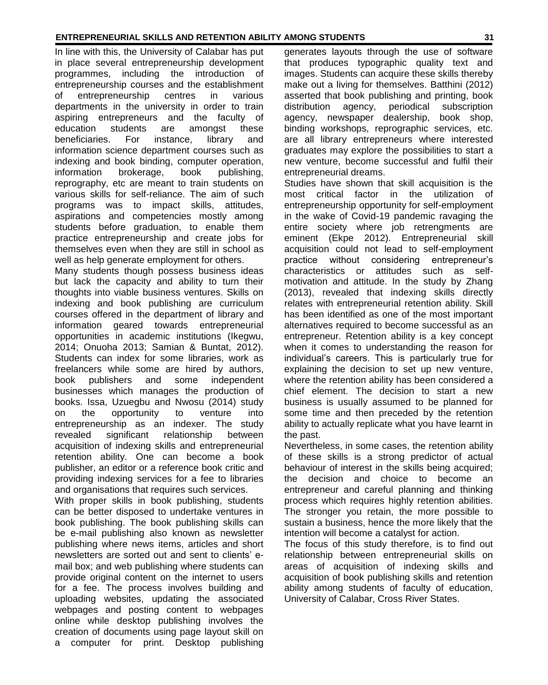#### **ENTREPRENEURIAL SKILLS AND RETENTION ABILITY AMONG STUDENTS 31**

In line with this, the University of Calabar has put in place several entrepreneurship development programmes, including the introduction of entrepreneurship courses and the establishment of entrepreneurship centres in various departments in the university in order to train aspiring entrepreneurs and the faculty of education students are amongst these beneficiaries. For instance, library and information science department courses such as indexing and book binding, computer operation, information brokerage, book publishing, reprography, etc are meant to train students on various skills for self-reliance. The aim of such programs was to impact skills, attitudes, aspirations and competencies mostly among students before graduation, to enable them practice entrepreneurship and create jobs for themselves even when they are still in school as well as help generate employment for others.

Many students though possess business ideas but lack the capacity and ability to turn their thoughts into viable business ventures. Skills on indexing and book publishing are curriculum courses offered in the department of library and information geared towards entrepreneurial opportunities in academic institutions (Ikegwu, 2014; Onuoha 2013; Samian & Buntat, 2012). Students can index for some libraries, work as freelancers while some are hired by authors, book publishers and some independent businesses which manages the production of books. Issa, Uzuegbu and Nwosu (2014) study on the opportunity to venture into entrepreneurship as an indexer. The study revealed significant relationship between acquisition of indexing skills and entrepreneurial retention ability. One can become a book publisher, an editor or a reference book critic and providing indexing services for a fee to libraries and organisations that requires such services.

With proper skills in book publishing, students can be better disposed to undertake ventures in book publishing. The book publishing skills can be e-mail publishing also known as newsletter publishing where news items, articles and short newsletters are sorted out and sent to clients' email box; and web publishing where students can provide original content on the internet to users for a fee. The process involves building and uploading websites, updating the associated webpages and posting content to webpages online while desktop publishing involves the creation of documents using page layout skill on a computer for print. Desktop publishing

generates layouts through the use of software that produces typographic quality text and images. Students can acquire these skills thereby make out a living for themselves. Batthini (2012) asserted that book publishing and printing, book distribution agency, periodical subscription agency, newspaper dealership, book shop, binding workshops, reprographic services, etc. are all library entrepreneurs where interested graduates may explore the possibilities to start a new venture, become successful and fulfil their entrepreneurial dreams.

Studies have shown that skill acquisition is the most critical factor in the utilization of entrepreneurship opportunity for self-employment in the wake of Covid-19 pandemic ravaging the entire society where job retrengments are eminent (Ekpe 2012). Entrepreneurial skill acquisition could not lead to self-employment practice without considering entrepreneur's characteristics or attitudes such as selfmotivation and attitude. In the study by Zhang (2013), revealed that indexing skills directly relates with entrepreneurial retention ability. Skill has been identified as one of the most important alternatives required to become successful as an entrepreneur. Retention ability is a key concept when it comes to understanding the reason for individual's careers. This is particularly true for explaining the decision to set up new venture, where the retention ability has been considered a chief element. The decision to start a new business is usually assumed to be planned for some time and then preceded by the retention ability to actually replicate what you have learnt in the past.

Nevertheless, in some cases, the retention ability of these skills is a strong predictor of actual behaviour of interest in the skills being acquired; the decision and choice to become an entrepreneur and careful planning and thinking process which requires highly retention abilities. The stronger you retain, the more possible to sustain a business, hence the more likely that the intention will become a catalyst for action.

The focus of this study therefore, is to find out relationship between entrepreneurial skills on areas of acquisition of indexing skills and acquisition of book publishing skills and retention ability among students of faculty of education, University of Calabar, Cross River States.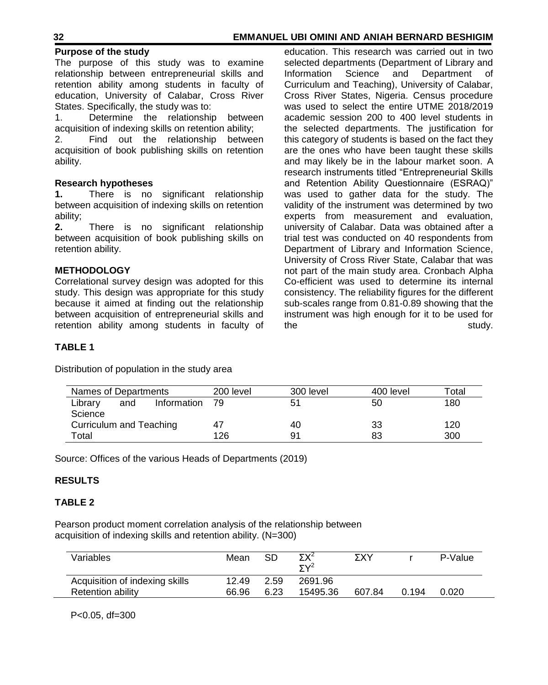#### **Purpose of the study**

The purpose of this study was to examine relationship between entrepreneurial skills and retention ability among students in faculty of education, University of Calabar, Cross River States. Specifically, the study was to:

1. Determine the relationship between acquisition of indexing skills on retention ability;

2. Find out the relationship between acquisition of book publishing skills on retention ability.

#### **Research hypotheses**

**1.** There is no significant relationship between acquisition of indexing skills on retention ability;

**2.** There is no significant relationship between acquisition of book publishing skills on retention ability.

#### **METHODOLOGY**

Correlational survey design was adopted for this study. This design was appropriate for this study because it aimed at finding out the relationship between acquisition of entrepreneurial skills and retention ability among students in faculty of

education. This research was carried out in two selected departments (Department of Library and Information Science and Department of Curriculum and Teaching), University of Calabar, Cross River States, Nigeria. Census procedure was used to select the entire UTME 2018/2019 academic session 200 to 400 level students in the selected departments. The justification for this category of students is based on the fact they are the ones who have been taught these skills and may likely be in the labour market soon. A research instruments titled "Entrepreneurial Skills and Retention Ability Questionnaire (ESRAQ)" was used to gather data for the study. The validity of the instrument was determined by two experts from measurement and evaluation, university of Calabar. Data was obtained after a trial test was conducted on 40 respondents from Department of Library and Information Science, University of Cross River State, Calabar that was not part of the main study area. Cronbach Alpha Co-efficient was used to determine its internal consistency. The reliability figures for the different sub-scales range from 0.81-0.89 showing that the instrument was high enough for it to be used for the study.

### **TABLE 1**

Distribution of population in the study area

| Names of Departments    |     |             | 200 level | 300 level | 400 level | ™otal |
|-------------------------|-----|-------------|-----------|-----------|-----------|-------|
| Library                 | and | Information | - 79      | 51        | 50        | 180   |
| Science                 |     |             |           |           |           |       |
| Curriculum and Teaching |     |             | 47        | 40        | 33        | 120   |
| Total                   |     |             | 126       | 91        | 83        | 300   |

Source: Offices of the various Heads of Departments (2019)

#### **RESULTS**

#### **TABLE 2**

Pearson product moment correlation analysis of the relationship between acquisition of indexing skills and retention ability. (N=300)

| Variables                      | Mean  | SD   | VY∠<br>$\overline{\nabla}$ $\sqrt{2}$ | ΣXΥ    |       | P-Value |
|--------------------------------|-------|------|---------------------------------------|--------|-------|---------|
| Acquisition of indexing skills | 12.49 | 2.59 | 2691.96                               |        |       |         |
| Retention ability              | 66.96 | 6.23 | 15495.36                              | 607.84 | 0.194 | 0.020   |

P<0.05, df=300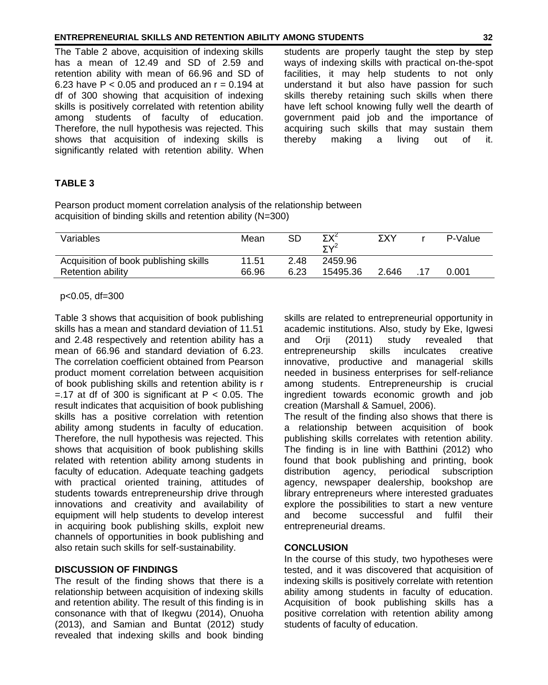#### **ENTREPRENEURIAL SKILLS AND RETENTION ABILITY AMONG STUDENTS 32**

The Table 2 above, acquisition of indexing skills has a mean of 12.49 and SD of 2.59 and retention ability with mean of 66.96 and SD of 6.23 have  $P < 0.05$  and produced an  $r = 0.194$  at df of 300 showing that acquisition of indexing skills is positively correlated with retention ability among students of faculty of education. Therefore, the null hypothesis was rejected. This shows that acquisition of indexing skills is significantly related with retention ability. When

students are properly taught the step by step ways of indexing skills with practical on-the-spot facilities, it may help students to not only understand it but also have passion for such skills thereby retaining such skills when there have left school knowing fully well the dearth of government paid job and the importance of acquiring such skills that may sustain them thereby making a living out of it.

#### **TABLE 3**

Pearson product moment correlation analysis of the relationship between acquisition of binding skills and retention ability (N=300)

| Variables                                                  | Mean           | SD           | ΣX <sup>2</sup><br>$5v^2$ | ΣΧΥ   | P-Value |
|------------------------------------------------------------|----------------|--------------|---------------------------|-------|---------|
| Acquisition of book publishing skills<br>Retention ability | 11.51<br>66.96 | 2.48<br>6.23 | 2459.96<br>15495.36       | 2.646 | 0.001   |
|                                                            |                |              |                           |       |         |

#### p<0.05, df=300

Table 3 shows that acquisition of book publishing skills has a mean and standard deviation of 11.51 and 2.48 respectively and retention ability has a mean of 66.96 and standard deviation of 6.23. The correlation coefficient obtained from Pearson product moment correlation between acquisition of book publishing skills and retention ability is r  $=$  17 at df of 300 is significant at P < 0.05. The result indicates that acquisition of book publishing skills has a positive correlation with retention ability among students in faculty of education. Therefore, the null hypothesis was rejected. This shows that acquisition of book publishing skills related with retention ability among students in faculty of education. Adequate teaching gadgets with practical oriented training, attitudes of students towards entrepreneurship drive through innovations and creativity and availability of equipment will help students to develop interest in acquiring book publishing skills, exploit new channels of opportunities in book publishing and also retain such skills for self-sustainability.

#### **DISCUSSION OF FINDINGS**

The result of the finding shows that there is a relationship between acquisition of indexing skills and retention ability. The result of this finding is in consonance with that of Ikegwu (2014), Onuoha (2013), and Samian and Buntat (2012) study revealed that indexing skills and book binding

skills are related to entrepreneurial opportunity in academic institutions. Also, study by Eke, Igwesi and Orii (2011) study revealed that entrepreneurship skills inculcates creative innovative, productive and managerial skills needed in business enterprises for self-reliance among students. Entrepreneurship is crucial ingredient towards economic growth and job creation (Marshall & Samuel, 2006).

The result of the finding also shows that there is a relationship between acquisition of book publishing skills correlates with retention ability. The finding is in line with Batthini (2012) who found that book publishing and printing, book distribution agency, periodical subscription agency, newspaper dealership, bookshop are library entrepreneurs where interested graduates explore the possibilities to start a new venture and become successful and fulfil their entrepreneurial dreams.

#### **CONCLUSION**

In the course of this study, two hypotheses were tested, and it was discovered that acquisition of indexing skills is positively correlate with retention ability among students in faculty of education. Acquisition of book publishing skills has a positive correlation with retention ability among students of faculty of education.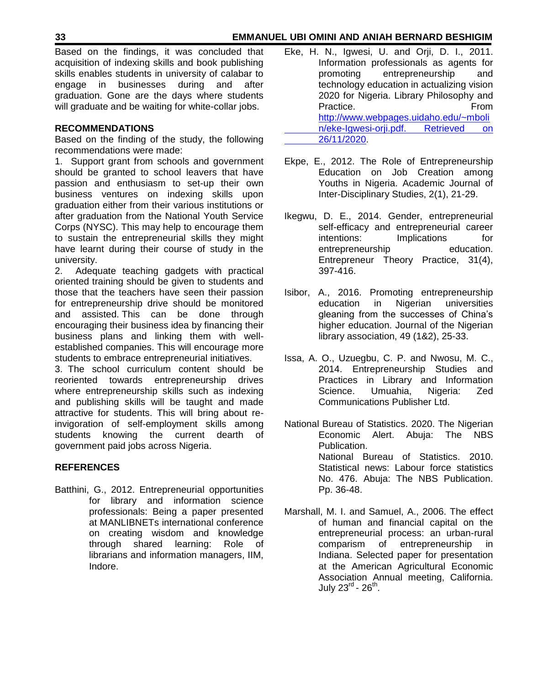Based on the findings, it was concluded that acquisition of indexing skills and book publishing skills enables students in university of calabar to engage in businesses during and after graduation. Gone are the days where students will graduate and be waiting for white-collar jobs.

## **RECOMMENDATIONS**

Based on the finding of the study, the following recommendations were made:

1. Support grant from schools and government should be granted to school leavers that have passion and enthusiasm to set-up their own business ventures on indexing skills upon graduation either from their various institutions or after graduation from the National Youth Service Corps (NYSC). This may help to encourage them to sustain the entrepreneurial skills they might have learnt during their course of study in the university.

2. Adequate teaching gadgets with practical oriented training should be given to students and those that the teachers have seen their passion for entrepreneurship drive should be monitored and assisted. This can be done through encouraging their business idea by financing their business plans and linking them with wellestablished companies. This will encourage more students to embrace entrepreneurial initiatives.

3. The school curriculum content should be reoriented towards entrepreneurship drives where entrepreneurship skills such as indexing and publishing skills will be taught and made attractive for students. This will bring about reinvigoration of self-employment skills among students knowing the current dearth of government paid jobs across Nigeria.

# **REFERENCES**

Batthini, G., 2012. Entrepreneurial opportunities for library and information science professionals: Being a paper presented at MANLIBNETs international conference on creating wisdom and knowledge through shared learning: Role of librarians and information managers, IIM, Indore.

- Eke, H. N., Igwesi, U. and Orji, D. I., 2011. Information professionals as agents for promoting entrepreneurship and technology education in actualizing vision 2020 for Nigeria. Library Philosophy and Practice. The **From** [http://www.webpages.uidaho.edu/~mboli](http://www.webpages.uidaho.edu/~mboli%09n/eke-Igwesi-orji.pdf.%20Retrieved%20on%20%0926/11/2020) [n/eke-Igwesi-orji.pdf. Retrieved on](http://www.webpages.uidaho.edu/~mboli%09n/eke-Igwesi-orji.pdf.%20Retrieved%20on%20%0926/11/2020)  [26/11/2020.](http://www.webpages.uidaho.edu/~mboli%09n/eke-Igwesi-orji.pdf.%20Retrieved%20on%20%0926/11/2020)
- Ekpe, E., 2012. The Role of Entrepreneurship Education on Job Creation among Youths in Nigeria. Academic Journal of Inter-Disciplinary Studies, 2(1), 21-29.
- Ikegwu, D. E., 2014. Gender, entrepreneurial self-efficacy and entrepreneurial career intentions: Implications for entrepreneurship education. Entrepreneur Theory Practice, 31(4), 397-416.
- Isibor, A., 2016. Promoting entrepreneurship education in Nigerian universities gleaning from the successes of China's higher education. Journal of the Nigerian library association, 49 (1&2), 25-33.
- Issa, A. O., Uzuegbu, C. P. and Nwosu, M. C., 2014. Entrepreneurship Studies and Practices in Library and Information Science. Umuahia, Nigeria: Zed Communications Publisher Ltd.
- National Bureau of Statistics. 2020. The Nigerian Economic Alert. Abuja: The NBS Publication. National Bureau of Statistics. 2010. Statistical news: Labour force statistics No. 476. Abuja: The NBS Publication. Pp. 36-48.
- Marshall, M. I. and Samuel, A., 2006. The effect of human and financial capital on the entrepreneurial process: an urban-rural comparism of entrepreneurship in Indiana. Selected paper for presentation at the American Agricultural Economic Association Annual meeting, California. July 23<sup>rd</sup> - 26<sup>th</sup>.